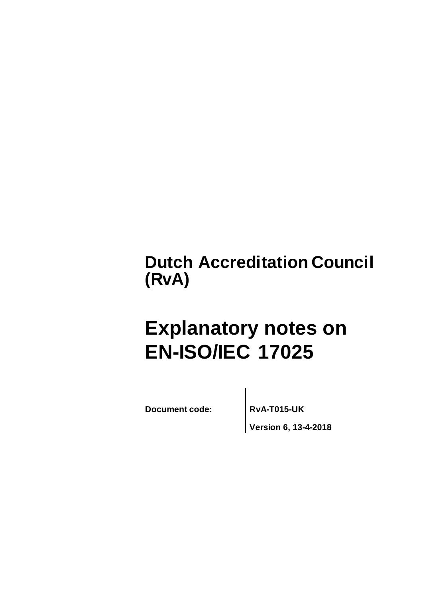# **Dutch Accreditation Council (RvA)**

# **Explanatory notes on EN-ISO/IEC 17025**

**Document code: RvA-T015-UK**

**Version 6, 13-4-2018**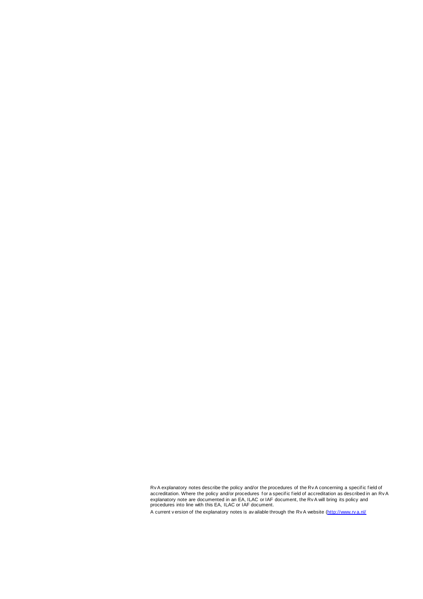Rv A explanatory notes describe the policy and/or the procedures of the Rv A concerning a specif ic f ield of accreditation. Where the policy and/or procedures f or a specif ic f ield of accreditation as described in an Rv A explanatory note are documented in an EA, ILAC or IAF document, the Rv A will bring its policy and procedures into line with this EA, ILAC or IAF document.

A current v ersion of the explanatory notes is av ailable through the Rv A website [\(http://www.rv a.nl/](http://www.rva.nl/)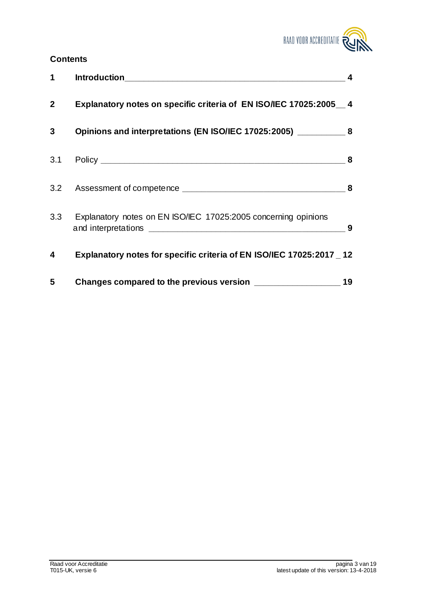

# **Contents**

| 1              |                                                                       | $\overline{\mathbf{4}}$ |
|----------------|-----------------------------------------------------------------------|-------------------------|
| $\mathbf{2}$   | Explanatory notes on specific criteria of EN ISO/IEC 17025:2005_4     |                         |
| 3 <sup>1</sup> | Opinions and interpretations (EN ISO/IEC 17025:2005) ____________ 8   |                         |
|                |                                                                       |                         |
|                |                                                                       |                         |
|                | 3.3 Explanatory notes on EN ISO/IEC 17025:2005 concerning opinions    | 9                       |
| 4              | Explanatory notes for specific criteria of EN ISO/IEC 17025:2017 _ 12 |                         |
| 5              |                                                                       | 19                      |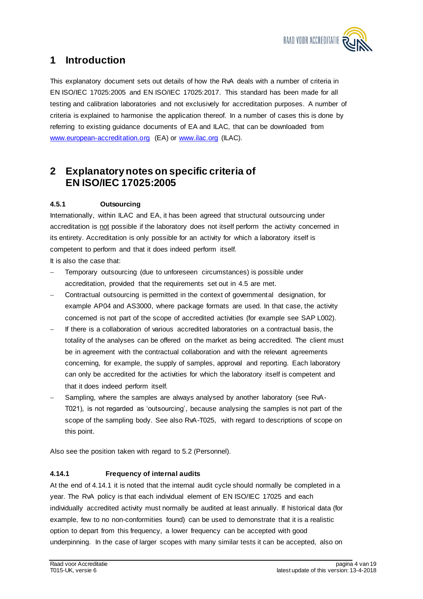

# **1 Introduction**

This explanatory document sets out details of how the RvA deals with a number of criteria in EN ISO/IEC 17025:2005 and EN ISO/IEC 17025:2017. This standard has been made for all testing and calibration laboratories and not exclusively for accreditation purposes. A number of criteria is explained to harmonise the application thereof. In a number of cases this is done by referring to existing guidance documents of EA and ILAC, that can be downloaded from <www.european-accreditation.org> (EA) or<www.ilac.org> (ILAC).

# **2 Explanatory notes on specific criteria of EN ISO/IEC 17025:2005**

# **4.5.1 Outsourcing**

Internationally, within ILAC and EA, it has been agreed that structural outsourcing under accreditation is not possible if the laboratory does not itself perform the activity concerned in its entirety. Accreditation is only possible for an activity for which a laboratory itself is competent to perform and that it does indeed perform itself.

It is also the case that:

- Temporary outsourcing (due to unforeseen circumstances) is possible under accreditation, provided that the requirements set out in 4.5 are met.
- Contractual outsourcing is permitted in the context of governmental designation, for example AP04 and AS3000, where package formats are used. In that case, the activity concerned is not part of the scope of accredited activities (for example see SAP L002).
- If there is a collaboration of various accredited laboratories on a contractual basis, the totality of the analyses can be offered on the market as being accredited. The client must be in agreement with the contractual collaboration and with the relevant agreements concerning, for example, the supply of samples, approval and reporting. Each laboratory can only be accredited for the activities for which the laboratory itself is competent and that it does indeed perform itself.
- Sampling, where the samples are always analysed by another laboratory (see RvA-T021), is not regarded as 'outsourcing', because analysing the samples is not part of the scope of the sampling body. See also RvA-T025, with regard to descriptions of scope on this point.

Also see the position taken with regard to 5.2 (Personnel).

# **4.14.1 Frequency of internal audits**

At the end of 4.14.1 it is noted that the internal audit cycle should normally be completed in a year. The RvA policy is that each individual element of EN ISO/IEC 17025 and each individually accredited activity must normally be audited at least annually. If historical data (for example, few to no non-conformities found) can be used to demonstrate that it is a realistic option to depart from this frequency, a lower frequency can be accepted with good underpinning. In the case of larger scopes with many similar tests it can be accepted, also on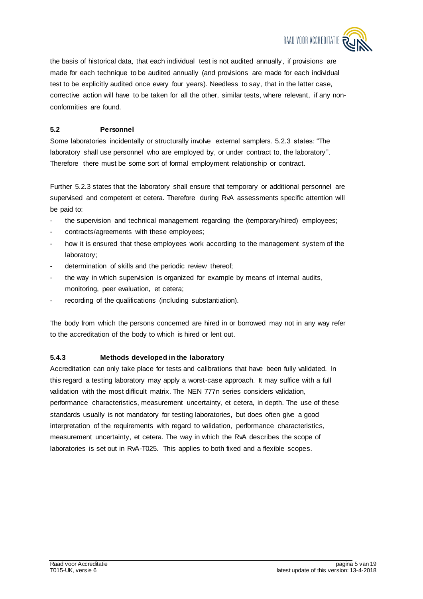

the basis of historical data, that each individual test is not audited annually , if provisions are made for each technique to be audited annually (and provisions are made for each individual test to be explicitly audited once every four years). Needless to say, that in the latter case, corrective action will have to be taken for all the other, similar tests, where relevant, if any nonconformities are found.

# **5.2 Personnel**

Some laboratories incidentally or structurally involve external samplers. 5.2.3 states: "The laboratory shall use personnel who are employed by, or under contract to, the laboratory ". Therefore there must be some sort of formal employment relationship or contract.

Further 5.2.3 states that the laboratory shall ensure that temporary or additional personnel are supervised and competent et cetera. Therefore during RvA assessments specific attention will be paid to:

- the supervision and technical management regarding the (temporary/hired) employees;
- contracts/agreements with these employees;
- how it is ensured that these employees work according to the management system of the laboratory;
- determination of skills and the periodic review thereof;
- the way in which supervision is organized for example by means of internal audits, monitoring, peer evaluation, et cetera;
- recording of the qualifications (including substantiation).

The body from which the persons concerned are hired in or borrowed may not in any way refer to the accreditation of the body to which is hired or lent out.

# **5.4.3 Methods developed in the laboratory**

Accreditation can only take place for tests and calibrations that have been fully validated. In this regard a testing laboratory may apply a worst-case approach. It may suffice with a full validation with the most difficult matrix. The NEN 777n series considers validation, performance characteristics, measurement uncertainty, et cetera, in depth. The use of these standards usually is not mandatory for testing laboratories, but does often give a good interpretation of the requirements with regard to validation, performance characteristics, measurement uncertainty, et cetera. The way in which the RvA describes the scope of laboratories is set out in RvA-T025. This applies to both fixed and a flexible scopes.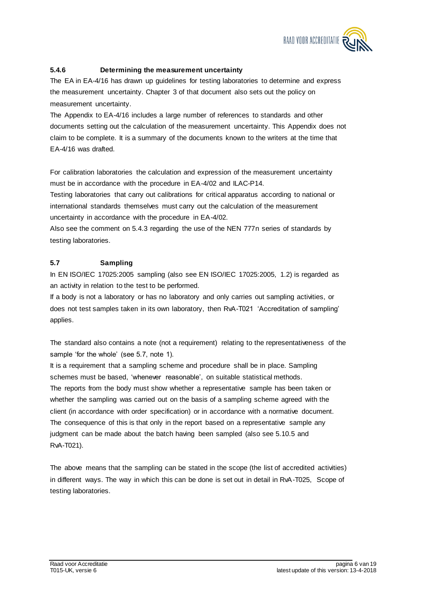

# **5.4.6 Determining the measurement uncertainty**

The EA in EA-4/16 has drawn up guidelines for testing laboratories to determine and express the measurement uncertainty. Chapter 3 of that document also sets out the policy on measurement uncertainty.

The Appendix to EA-4/16 includes a large number of references to standards and other documents setting out the calculation of the measurement uncertainty. This Appendix does not claim to be complete. It is a summary of the documents known to the writers at the time that EA-4/16 was drafted.

For calibration laboratories the calculation and expression of the measurement uncertainty must be in accordance with the procedure in EA-4/02 and ILAC-P14.

Testing laboratories that carry out calibrations for critical apparatus according to national or international standards themselves must carry out the calculation of the measurement uncertainty in accordance with the procedure in EA-4/02.

Also see the comment on 5.4.3 regarding the use of the NEN 777n series of standards by testing laboratories.

# **5.7 Sampling**

In EN ISO/IEC 17025:2005 sampling (also see EN ISO/IEC 17025:2005, 1.2) is regarded as an activity in relation to the test to be performed.

If a body is not a laboratory or has no laboratory and only carries out sampling activities, or does not test samples taken in its own laboratory, then RvA-T021 'Accreditation of sampling' applies.

The standard also contains a note (not a requirement) relating to the representativeness of the sample 'for the whole' (see 5.7, note 1).

It is a requirement that a sampling scheme and procedure shall be in place. Sampling schemes must be based, 'whenever reasonable', on suitable statistical methods. The reports from the body must show whether a representative sample has been taken or whether the sampling was carried out on the basis of a sampling scheme agreed with the client (in accordance with order specification) or in accordance with a normative document. The consequence of this is that only in the report based on a representative sample any judgment can be made about the batch having been sampled (also see 5.10.5 and RvA-T021).

The above means that the sampling can be stated in the scope (the list of accredited activities) in different ways. The way in which this can be done is set out in detail in RvA-T025, Scope of testing laboratories.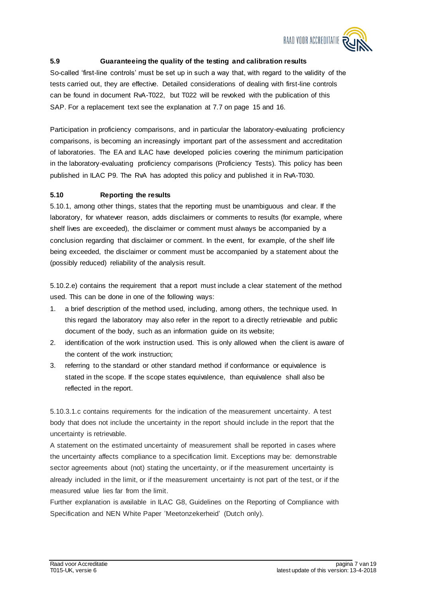

# **5.9 Guaranteeing the quality of the testing and calibration results**

So-called 'first-line controls' must be set up in such a way that, with regard to the validity of the tests carried out, they are effective. Detailed considerations of dealing with first-line controls can be found in document RvA-T022, but T022 will be revoked with the publication of this SAP. For a replacement text see the explanation at 7.7 on page 15 and 16.

Participation in proficiency comparisons, and in particular the laboratory-evaluating proficiency comparisons, is becoming an increasingly important part of the assessment and accreditation of laboratories. The EA and ILAC have developed policies covering the minimum participation in the laboratory-evaluating proficiency comparisons (Proficiency Tests). This policy has been published in ILAC P9. The RvA has adopted this policy and published it in RvA-T030.

#### **5.10 Reporting the results**

5.10.1, among other things, states that the reporting must be unambiguous and clear. If the laboratory, for whatever reason, adds disclaimers or comments to results (for example, where shelf lives are exceeded), the disclaimer or comment must always be accompanied by a conclusion regarding that disclaimer or comment. In the event, for example, of the shelf life being exceeded, the disclaimer or comment must be accompanied by a statement about the (possibly reduced) reliability of the analysis result.

5.10.2.e) contains the requirement that a report must include a clear statement of the method used. This can be done in one of the following ways:

- 1. a brief description of the method used, including, among others, the technique used. In this regard the laboratory may also refer in the report to a directly retrievable and public document of the body, such as an information guide on its website;
- 2. identification of the work instruction used. This is only allowed when the client is aware of the content of the work instruction;
- 3. referring to the standard or other standard method if conformance or equivalence is stated in the scope. If the scope states equivalence, than equivalence shall also be reflected in the report.

5.10.3.1.c contains requirements for the indication of the measurement uncertainty. A test body that does not include the uncertainty in the report should include in the report that the uncertainty is retrievable.

A statement on the estimated uncertainty of measurement shall be reported in cases where the uncertainty affects compliance to a specification limit. Exceptions may be: demonstrable sector agreements about (not) stating the uncertainty, or if the measurement uncertainty is already included in the limit, or if the measurement uncertainty is not part of the test, or if the measured value lies far from the limit.

Further explanation is available in ILAC G8, Guidelines on the Reporting of Compliance with Specification and NEN White Paper 'Meetonzekerheid' (Dutch only).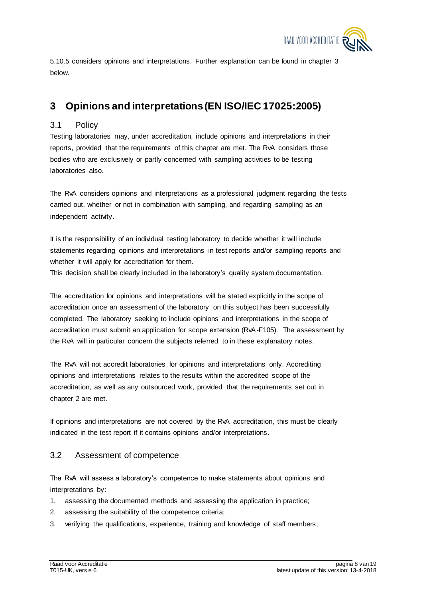

5.10.5 considers opinions and interpretations. Further explanation can be found in chapter 3 below.

# **3 Opinions and interpretations (EN ISO/IEC 17025:2005)**

# 3.1 Policy

Testing laboratories may, under accreditation, include opinions and interpretations in their reports, provided that the requirements of this chapter are met. The RvA considers those bodies who are exclusively or partly concerned with sampling activities to be testing laboratories also.

The RvA considers opinions and interpretations as a professional judgment regarding the tests carried out, whether or not in combination with sampling, and regarding sampling as an independent activity.

It is the responsibility of an individual testing laboratory to decide whether it will include statements regarding opinions and interpretations in test reports and/or sampling reports and whether it will apply for accreditation for them.

This decision shall be clearly included in the laboratory's quality system documentation.

The accreditation for opinions and interpretations will be stated explicitly in the scope of accreditation once an assessment of the laboratory on this subject has been successfully completed. The laboratory seeking to include opinions and interpretations in the scope of accreditation must submit an application for scope extension (RvA-F105). The assessment by the RvA will in particular concern the subjects referred to in these explanatory notes.

The RvA will not accredit laboratories for opinions and interpretations only. Accrediting opinions and interpretations relates to the results within the accredited scope of the accreditation, as well as any outsourced work, provided that the requirements set out in chapter 2 are met.

If opinions and interpretations are not covered by the RvA accreditation, this must be clearly indicated in the test report if it contains opinions and/or interpretations.

# 3.2 Assessment of competence

The RvA will assess a laboratory's competence to make statements about opinions and interpretations by:

- 1. assessing the documented methods and assessing the application in practice;
- 2. assessing the suitability of the competence criteria;
- 3. verifying the qualifications, experience, training and knowledge of staff members;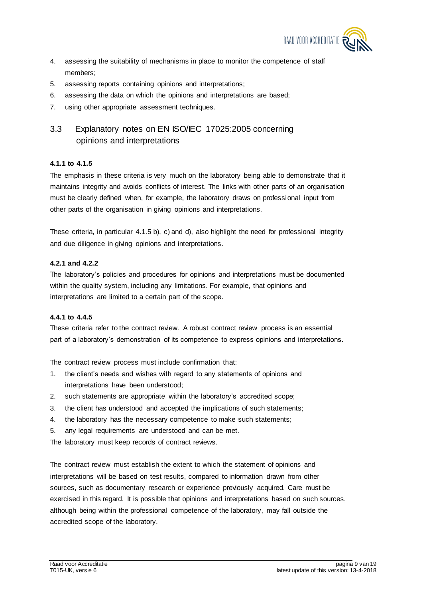

- 4. assessing the suitability of mechanisms in place to monitor the competence of staff members;
- 5. assessing reports containing opinions and interpretations;
- 6. assessing the data on which the opinions and interpretations are based;
- 7. using other appropriate assessment techniques.

# 3.3 Explanatory notes on EN ISO/IEC 17025:2005 concerning opinions and interpretations

## **4.1.1 to 4.1.5**

The emphasis in these criteria is very much on the laboratory being able to demonstrate that it maintains integrity and avoids conflicts of interest. The links with other parts of an organisation must be clearly defined when, for example, the laboratory draws on professional input from other parts of the organisation in giving opinions and interpretations.

These criteria, in particular 4.1.5 b), c) and d), also highlight the need for professional integrity and due diligence in giving opinions and interpretations.

## **4.2.1 and 4.2.2**

The laboratory's policies and procedures for opinions and interpretations must be documented within the quality system, including any limitations. For example, that opinions and interpretations are limited to a certain part of the scope.

#### **4.4.1 to 4.4.5**

These criteria refer to the contract review. A robust contract review process is an essential part of a laboratory's demonstration of its competence to express opinions and interpretations.

The contract review process must include confirmation that:

- 1. the client's needs and wishes with regard to any statements of opinions and interpretations have been understood;
- 2. such statements are appropriate within the laboratory's accredited scope;
- 3. the client has understood and accepted the implications of such statements;
- 4. the laboratory has the necessary competence to make such statements;
- 5. any legal requirements are understood and can be met.

The laboratory must keep records of contract reviews.

The contract review must establish the extent to which the statement of opinions and interpretations will be based on test results, compared to information drawn from other sources, such as documentary research or experience previously acquired. Care must be exercised in this regard. It is possible that opinions and interpretations based on such sources, although being within the professional competence of the laboratory, may fall outside the accredited scope of the laboratory.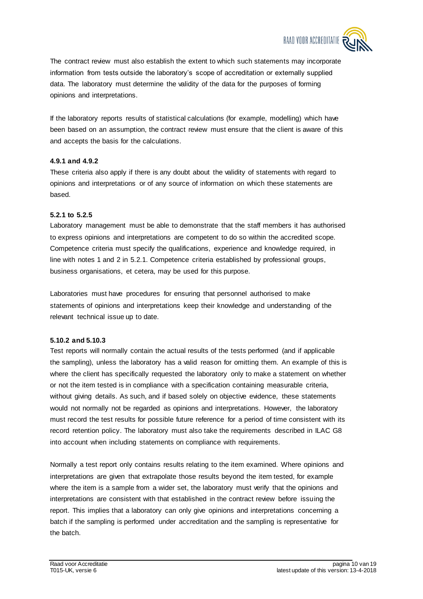

The contract review must also establish the extent to which such statements may incorporate information from tests outside the laboratory's scope of accreditation or externally supplied data. The laboratory must determine the validity of the data for the purposes of forming opinions and interpretations.

If the laboratory reports results of statistical calculations (for example, modelling) which have been based on an assumption, the contract review must ensure that the client is aware of this and accepts the basis for the calculations.

#### **4.9.1 and 4.9.2**

These criteria also apply if there is any doubt about the validity of statements with regard to opinions and interpretations or of any source of information on which these statements are based.

#### **5.2.1 to 5.2.5**

Laboratory management must be able to demonstrate that the staff members it has authorised to express opinions and interpretations are competent to do so within the accredited scope. Competence criteria must specify the qualifications, experience and knowledge required, in line with notes 1 and 2 in 5.2.1. Competence criteria established by professional groups, business organisations, et cetera, may be used for this purpose.

Laboratories must have procedures for ensuring that personnel authorised to make statements of opinions and interpretations keep their knowledge and understanding of the relevant technical issue up to date.

#### **5.10.2 and 5.10.3**

Test reports will normally contain the actual results of the tests performed (and if applicable the sampling), unless the laboratory has a valid reason for omitting them. An example of this is where the client has specifically requested the laboratory only to make a statement on whether or not the item tested is in compliance with a specification containing measurable criteria, without giving details. As such, and if based solely on objective evidence, these statements would not normally not be regarded as opinions and interpretations. However, the laboratory must record the test results for possible future reference for a period of time consistent with its record retention policy. The laboratory must also take the requirements described in ILAC G8 into account when including statements on compliance with requirements.

Normally a test report only contains results relating to the item examined. Where opinions and interpretations are given that extrapolate those results beyond the item tested, for example where the item is a sample from a wider set, the laboratory must verify that the opinions and interpretations are consistent with that established in the contract review before issuing the report. This implies that a laboratory can only give opinions and interpretations concerning a batch if the sampling is performed under accreditation and the sampling is representative for the batch.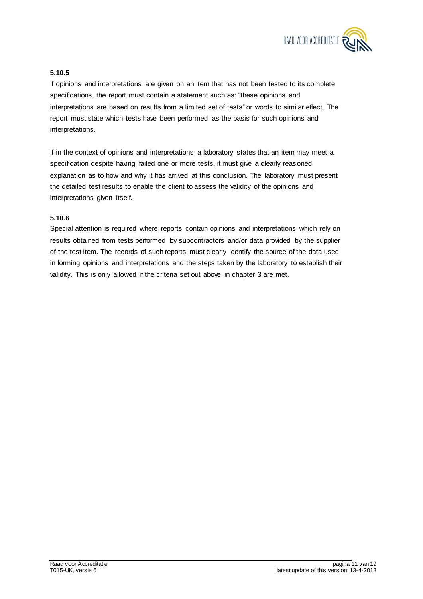

# **5.10.5**

If opinions and interpretations are given on an item that has not been tested to its complete specifications, the report must contain a statement such as: "these opinions and interpretations are based on results from a limited set of tests" or words to similar effect. The report must state which tests have been performed as the basis for such opinions and interpretations.

If in the context of opinions and interpretations a laboratory states that an item may meet a specification despite having failed one or more tests, it must give a clearly reasoned explanation as to how and why it has arrived at this conclusion. The laboratory must present the detailed test results to enable the client to assess the validity of the opinions and interpretations given itself.

#### **5.10.6**

Special attention is required where reports contain opinions and interpretations which rely on results obtained from tests performed by subcontractors and/or data provided by the supplier of the test item. The records of such reports must clearly identify the source of the data used in forming opinions and interpretations and the steps taken by the laboratory to establish their validity. This is only allowed if the criteria set out above in chapter 3 are met.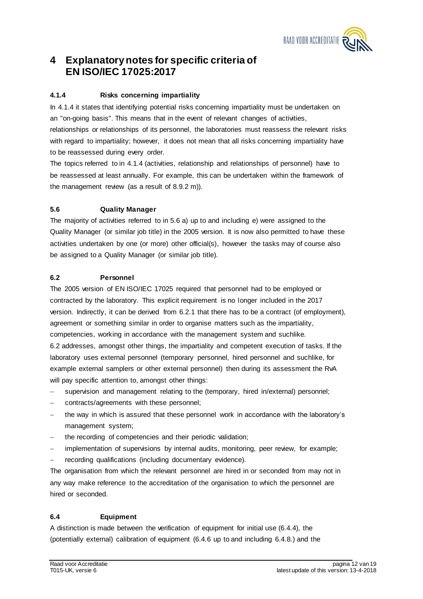

# **4 Explanatory notes for specific criteria of EN ISO/IEC 17025:2017**

# **4.1.4 Risks concerning impartiality**

In 4.1.4 it states that identifying potential risks concerning impartiality must be undertaken on an "on-going basis". This means that in the event of relevant changes of activities, relationships or relationships of its personnel, the laboratories must reassess the relevant risks with regard to impartiality; however, it does not mean that all risks concerning impartiality have to be reassessed during every order.

The topics referred to in 4.1.4 (activities, relationship and relationships of personnel) have to be reassessed at least annually. For example, this can be undertaken within the framework of the management review (as a result of 8.9.2 m)).

## **5.6 Quality Manager**

The majority of activities referred to in 5.6 a) up to and including e) were assigned to the Quality Manager (or similar job title) in the 2005 version. It is now also permitted to have these activities undertaken by one (or more) other official(s), however the tasks may of course also be assigned to a Quality Manager (or similar job title).

## **6.2 Personnel**

The 2005 version of EN ISO/IEC 17025 required that personnel had to be employed or contracted by the laboratory. This explicit requirement is no longer included in the 2017 version. Indirectly, it can be derived from 6.2.1 that there has to be a contract (of employment), agreement or something similar in order to organise matters such as the impartiality, competencies, working in accordance with the management system and suchlike. 6.2 addresses, amongst other things, the impartiality and competent execution of tasks. If the laboratory uses external personnel (temporary personnel, hired personnel and suchlike, for example external samplers or other external personnel) then during its assessment the RvA will pay specific attention to, amongst other things:

- supervision and management relating to the (temporary, hired in/external) personnel;
- contracts/agreements with these personnel;
- the way in which is assured that these personnel work in accordance with the laboratory's management system;
- the recording of competencies and their periodic validation;
- implementation of supervisions by internal audits, monitoring, peer review, for example;
- recording qualifications (including documentary evidence).

The organisation from which the relevant personnel are hired in or seconded from may not in any way make reference to the accreditation of the organisation to which the personnel are hired or seconded.

# **6.4 Equipment**

A distinction is made between the verification of equipment for initial use (6.4.4), the (potentially external) calibration of equipment (6.4.6 up to and including 6.4.8.) and the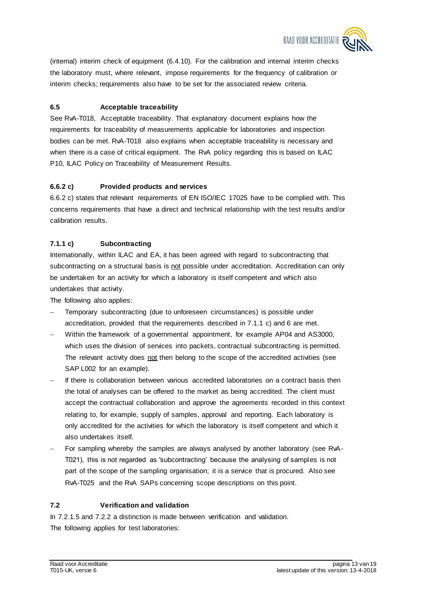

(internal) interim check of equipment (6.4.10). For the calibration and internal interim checks the laboratory must, where relevant, impose requirements for the frequency of calibration or interim checks; requirements also have to be set for the associated review criteria.

## **6.5 Acceptable traceability**

See RvA-T018, Acceptable traceability. That explanatory document explains how the requirements for traceability of measurements applicable for laboratories and inspection bodies can be met. RvA-T018 also explains when acceptable traceability is necessary and when there is a case of critical equipment. The RvA policy regarding this is based on ILAC P10, ILAC Policy on Traceability of Measurement Results.

# **6.6.2 c) Provided products and services**

6.6.2 c) states that relevant requirements of EN ISO/IEC 17025 have to be complied with. This concerns requirements that have a direct and technical relationship with the test results and/or calibration results.

## **7.1.1 c) Subcontracting**

Internationally, within ILAC and EA, it has been agreed with regard to subcontracting that subcontracting on a structural basis is not possible under accreditation. Accreditation can only be undertaken for an activity for which a laboratory is itself competent and which also undertakes that activity.

The following also applies:

- Temporary subcontracting (due to unforeseen circumstances) is possible under accreditation, provided that the requirements described in 7.1.1 c) and 6 are met.
- Within the framework of a governmental appointment, for example AP04 and AS3000, which uses the division of services into packets, contractual subcontracting is permitted. The relevant activity does not then belong to the scope of the accredited activities (see SAP L002 for an example).
- If there is collaboration between various accredited laboratories on a contract basis then the total of analyses can be offered to the market as being accredited. The client must accept the contractual collaboration and approve the agreements recorded in this context relating to, for example, supply of samples, approval and reporting. Each laboratory is only accredited for the activities for which the laboratory is itself competent and which it also undertakes itself.
- For sampling whereby the samples are always analysed by another laboratory (see RvA-T021), this is not regarded as 'subcontracting' because the analysing of samples is not part of the scope of the sampling organisation; it is a service that is procured. Also see RvA-T025 and the RvA SAPs concerning scope descriptions on this point.

#### **7.2 Verification and validation**

In 7.2.1.5 and 7.2.2 a distinction is made between verification and validation. The following applies for test laboratories: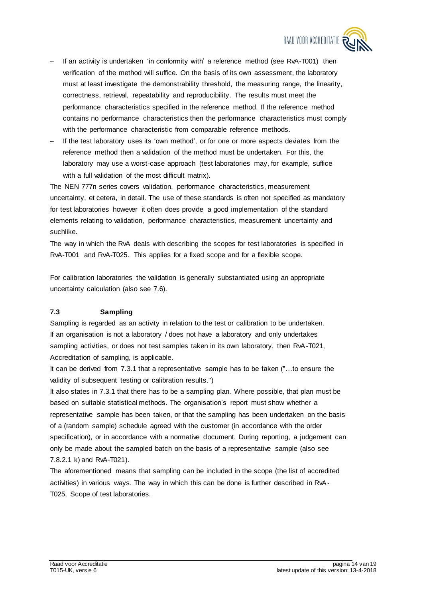

- If an activity is undertaken 'in conformity with' a reference method (see RvA-T001) then verification of the method will suffice. On the basis of its own assessment, the laboratory must at least investigate the demonstrability threshold, the measuring range, the linearity, correctness, retrieval, repeatability and reproducibility. The results must meet the performance characteristics specified in the reference method. If the reference method contains no performance characteristics then the performance characteristics must comply with the performance characteristic from comparable reference methods.
- If the test laboratory uses its 'own method', or for one or more aspects deviates from the reference method then a validation of the method must be undertaken. For this, the laboratory may use a worst-case approach (test laboratories may, for example, suffice with a full validation of the most difficult matrix).

The NEN 777n series covers validation, performance characteristics, measurement uncertainty, et cetera, in detail. The use of these standards is often not specified as mandatory for test laboratories however it often does provide a good implementation of the standard elements relating to validation, performance characteristics, measurement uncertainty and suchlike.

The way in which the RvA deals with describing the scopes for test laboratories is specified in RvA-T001 and RvA-T025. This applies for a fixed scope and for a flexible scope.

For calibration laboratories the validation is generally substantiated using an appropriate uncertainty calculation (also see 7.6).

#### **7.3 Sampling**

Sampling is regarded as an activity in relation to the test or calibration to be undertaken. If an organisation is not a laboratory / does not have a laboratory and only undertakes sampling activities, or does not test samples taken in its own laboratory, then RvA-T021, Accreditation of sampling, is applicable.

It can be derived from 7.3.1 that a representative sample has to be taken ("…to ensure the validity of subsequent testing or calibration results.")

It also states in 7.3.1 that there has to be a sampling plan. Where possible, that plan must be based on suitable statistical methods. The organisation's report must show whether a representative sample has been taken, or that the sampling has been undertaken on the basis of a (random sample) schedule agreed with the customer (in accordance with the order specification), or in accordance with a normative document. During reporting, a judgement can only be made about the sampled batch on the basis of a representative sample (also see 7.8.2.1 k) and RvA-T021).

The aforementioned means that sampling can be included in the scope (the list of accredited activities) in various ways. The way in which this can be done is further described in RvA-T025, Scope of test laboratories.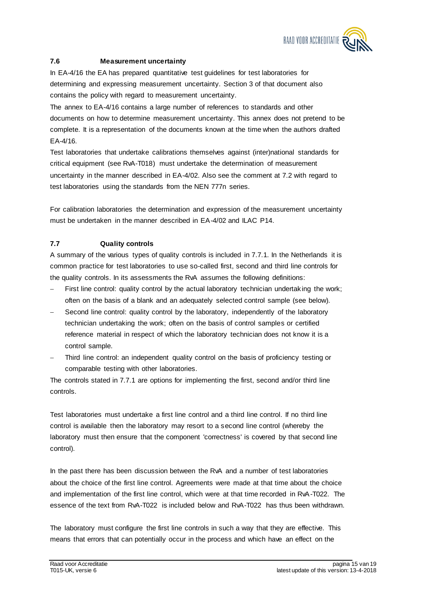

# **7.6 Measurement uncertainty**

In EA-4/16 the EA has prepared quantitative test guidelines for test laboratories for determining and expressing measurement uncertainty. Section 3 of that document also contains the policy with regard to measurement uncertainty.

The annex to EA-4/16 contains a large number of references to standards and other documents on how to determine measurement uncertainty. This annex does not pretend to be complete. It is a representation of the documents known at the time when the authors drafted EA-4/16.

Test laboratories that undertake calibrations themselves against (inter)national standards for critical equipment (see RvA-T018) must undertake the determination of measurement uncertainty in the manner described in EA-4/02. Also see the comment at 7.2 with regard to test laboratories using the standards from the NEN 777n series.

For calibration laboratories the determination and expression of the measurement uncertainty must be undertaken in the manner described in EA-4/02 and ILAC P14.

# **7.7 Quality controls**

A summary of the various types of quality controls is included in 7.7.1. In the Netherlands it is common practice for test laboratories to use so-called first, second and third line controls for the quality controls. In its assessments the RvA assumes the following definitions:

- First line control: quality control by the actual laboratory technician undertak ing the work; often on the basis of a blank and an adequately selected control sample (see below).
- Second line control: quality control by the laboratory, independently of the laboratory technician undertaking the work; often on the basis of control samples or certified reference material in respect of which the laboratory technician does not know it is a control sample.
- Third line control: an independent quality control on the basis of proficiency testing or comparable testing with other laboratories.

The controls stated in 7.7.1 are options for implementing the first, second and/or third line controls.

Test laboratories must undertake a first line control and a third line control. If no third line control is available then the laboratory may resort to a second line control (whereby the laboratory must then ensure that the component 'correctness' is covered by that second line control).

In the past there has been discussion between the RvA and a number of test laboratories about the choice of the first line control. Agreements were made at that time about the choice and implementation of the first line control, which were at that time recorded in RvA-T022. The essence of the text from RvA-T022 is included below and RvA-T022 has thus been withdrawn.

The laboratory must configure the first line controls in such a way that they are effective. This means that errors that can potentially occur in the process and which have an effect on the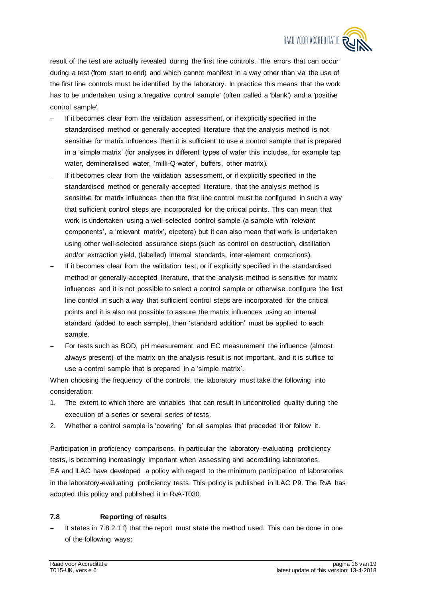

result of the test are actually revealed during the first line controls. The errors that can occur during a test (from start to end) and which cannot manifest in a way other than via the use of the first line controls must be identified by the laboratory. In practice this means that the work has to be undertaken using a 'negative control sample' (often called a 'blank') and a 'positive control sample'.

- If it becomes clear from the validation assessment, or if explicitly specified in the standardised method or generally-accepted literature that the analysis method is not sensitive for matrix influences then it is sufficient to use a control sample that is prepared in a 'simple matrix' (for analyses in different types of water this includes, for example tap water, demineralised water, 'milli-Q-water', buffers, other matrix).
- If it becomes clear from the validation assessment, or if explicitly specified in the standardised method or generally-accepted literature, that the analysis method is sensitive for matrix influences then the first line control must be configured in such a way that sufficient control steps are incorporated for the critical points. This can mean that work is undertaken using a well-selected control sample (a sample with 'relevant components', a 'relevant matrix', etcetera) but it can also mean that work is undertaken using other well-selected assurance steps (such as control on destruction, distillation and/or extraction yield, (labelled) internal standards, inter-element corrections).
- If it becomes clear from the validation test, or if explicitly specified in the standardised method or generally-accepted literature, that the analysis method is sensitive for matrix influences and it is not possible to select a control sample or otherwise configure the first line control in such a way that sufficient control steps are incorporated for the critical points and it is also not possible to assure the matrix influences using an internal standard (added to each sample), then 'standard addition' must be applied to each sample.
- For tests such as BOD, pH measurement and EC measurement the influence (almost always present) of the matrix on the analysis result is not important, and it is suffice to use a control sample that is prepared in a 'simple matrix'.

When choosing the frequency of the controls, the laboratory must take the following into consideration:

- 1. The extent to which there are variables that can result in uncontrolled quality during the execution of a series or several series of tests.
- 2. Whether a control sample is 'covering' for all samples that preceded it or follow it.

Participation in proficiency comparisons, in particular the laboratory-evaluating proficiency tests, is becoming increasingly important when assessing and accrediting laboratories. EA and ILAC have developed a policy with regard to the minimum participation of laboratories in the laboratory-evaluating proficiency tests. This policy is published in ILAC P9. The RvA has adopted this policy and published it in RvA-T030.

#### **7.8 Reporting of results**

 It states in 7.8.2.1 f) that the report must state the method used. This can be done in one of the following ways: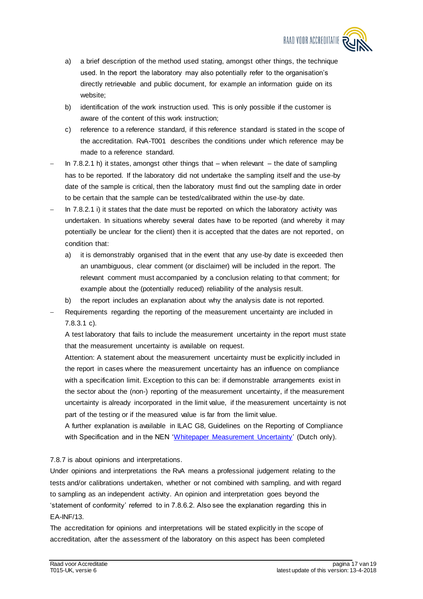

- a) a brief description of the method used stating, amongst other things, the technique used. In the report the laboratory may also potentially refer to the organisation's directly retrievable and public document, for example an information guide on its website;
- b) identification of the work instruction used. This is only possible if the customer is aware of the content of this work instruction;
- c) reference to a reference standard, if this reference standard is stated in the scope of the accreditation. RvA-T001 describes the conditions under which reference may be made to a reference standard.
- In  $7.8.2.1$  h) it states, amongst other things that when relevant the date of sampling has to be reported. If the laboratory did not undertake the sampling itself and the use-by date of the sample is critical, then the laboratory must find out the sampling date in order to be certain that the sample can be tested/calibrated within the use-by date.
- In 7.8.2.1 i) it states that the date must be reported on which the laboratory activity was undertaken. In situations whereby several dates have to be reported (and whereby it may potentially be unclear for the client) then it is accepted that the dates are not reported, on condition that:
	- a) it is demonstrably organised that in the event that any use-by date is exceeded then an unambiguous, clear comment (or disclaimer) will be included in the report. The relevant comment must accompanied by a conclusion relating to that comment; for example about the (potentially reduced) reliability of the analysis result.
	- b) the report includes an explanation about why the analysis date is not reported.
- Requirements regarding the reporting of the measurement uncertainty are included in 7.8.3.1 c).

A test laboratory that fails to include the measurement uncertainty in the report must state that the measurement uncertainty is available on request.

Attention: A statement about the measurement uncertainty must be explicitly included in the report in cases where the measurement uncertainty has an influence on compliance with a specification limit. Exception to this can be: if demonstrable arrangements exist in the sector about the (non-) reporting of the measurement uncertainty, if the measurement uncertainty is already incorporated in the limit value, if the measurement uncertainty is not part of the testing or if the measured value is far from the limit value.

A further explanation is available in ILAC G8, Guidelines on the Reporting of Compliance with Specification and in the NEN ['Whitepaper Measurement Uncertainty'](https://www.nen.nl/Normontwikkeling/Energie/Statistische-toepassingen.htm) (Dutch only).

7.8.7 is about opinions and interpretations.

Under opinions and interpretations the RvA means a professional judgement relating to the tests and/or calibrations undertaken, whether or not combined with sampling, and with regard to sampling as an independent activity. An opinion and interpretation goes beyond the 'statement of conformity' referred to in 7.8.6.2. Also see the explanation regarding this in EA-INF/13.

The accreditation for opinions and interpretations will be stated explicitly in the scope of accreditation, after the assessment of the laboratory on this aspect has been completed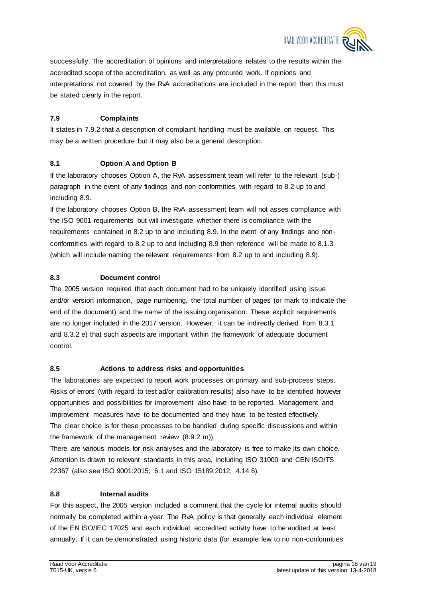

successfully. The accreditation of opinions and interpretations relates to the results within the accredited scope of the accreditation, as well as any procured work. If opinions and interpretations not covered by the RvA accreditations are included in the report then this must be stated clearly in the report.

# **7.9 Complaints**

It states in 7.9.2 that a description of complaint handling must be available on request. This may be a written procedure but it may also be a general description.

# **8.1 Option A and Option B**

If the laboratory chooses Option A, the RvA assessment team will refer to the relevant (sub-) paragraph in the event of any findings and non-conformities with regard to 8.2 up to and including 8.9.

If the laboratory chooses Option B, the RvA assessment team will not asses compliance with the ISO 9001 requirements but will investigate whether there is compliance with the requirements contained in 8.2 up to and including 8.9. In the event of any findings and nonconformities with regard to 8.2 up to and including 8.9 then reference will be made to 8.1.3 (which will include naming the relevant requirements from 8.2 up to and including 8.9).

## **8.3 Document control**

The 2005 version required that each document had to be uniquely identified using issue and/or version information, page numbering, the total number of pages (or mark to indicate the end of the document) and the name of the issuing organisation. These explicit requirements are no longer included in the 2017 version. However, it can be indirectly derived from 8.3.1 and 8.3.2 e) that such aspects are important within the framework of adequate document control.

#### **8.5 Actions to address risks and opportunities**

The laboratories are expected to report work processes on primary and sub-process steps. Risks of errors (with regard to test ad/or calibration results) also have to be identified however opportunities and possibilities for improvement also have to be reported. Management and improvement measures have to be documented and they have to be tested effectively. The clear choice is for these processes to be handled during specific discussions and within the framework of the management review (8.9.2 m)).

There are various models for risk analyses and the laboratory is free to make its own choice. Attention is drawn to relevant standards in this area, including ISO 31000 and CEN ISO/TS 22367 (also see ISO 9001:2015; 6.1 and ISO 15189:2012; 4.14.6).

# **8.8 Internal audits**

For this aspect, the 2005 version included a comment that the cycle for internal audits should normally be completed within a year. The RvA policy is that generally each individual element of the EN ISO/IEC 17025 and each individual accredited activity have to be audited at least annually. If it can be demonstrated using historic data (for example few to no non-conformities